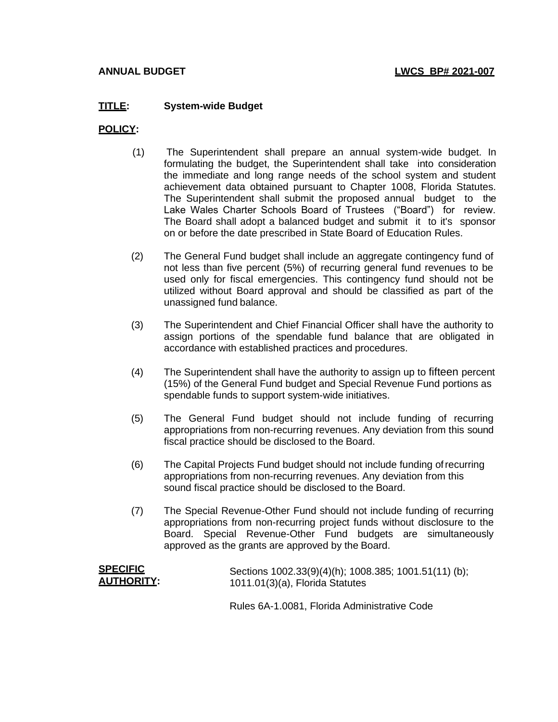## **TITLE: System-wide Budget**

### **POLICY:**

- (1) The Superintendent shall prepare an annual system-wide budget. In formulating the budget, the Superintendent shall take into consideration the immediate and long range needs of the school system and student achievement data obtained pursuant to Chapter 1008, Florida Statutes. The Superintendent shall submit the proposed annual budget to the Lake Wales Charter Schools Board of Trustees ("Board") for review. The Board shall adopt a balanced budget and submit it to it's sponsor on or before the date prescribed in State Board of Education Rules.
- (2) The General Fund budget shall include an aggregate contingency fund of not less than five percent (5%) of recurring general fund revenues to be used only for fiscal emergencies. This contingency fund should not be utilized without Board approval and should be classified as part of the unassigned fund balance.
- (3) The Superintendent and Chief Financial Officer shall have the authority to assign portions of the spendable fund balance that are obligated in accordance with established practices and procedures.
- (4) The Superintendent shall have the authority to assign up to fifteen percent (15%) of the General Fund budget and Special Revenue Fund portions as spendable funds to support system-wide initiatives.
- (5) The General Fund budget should not include funding of recurring appropriations from non-recurring revenues. Any deviation from this sound fiscal practice should be disclosed to the Board.
- (6) The Capital Projects Fund budget should not include funding ofrecurring appropriations from non-recurring revenues. Any deviation from this sound fiscal practice should be disclosed to the Board.
- (7) The Special Revenue-Other Fund should not include funding of recurring appropriations from non-recurring project funds without disclosure to the Board. Special Revenue-Other Fund budgets are simultaneously approved as the grants are approved by the Board.

| <b>SPECIFIC</b>    | Sections 1002.33(9)(4)(h); 1008.385; 1001.51(11) (b); |
|--------------------|-------------------------------------------------------|
| <u>AUTHORITY</u> : | 1011.01(3)(a), Florida Statutes                       |
|                    |                                                       |

Rules 6A-1.0081, Florida Administrative Code